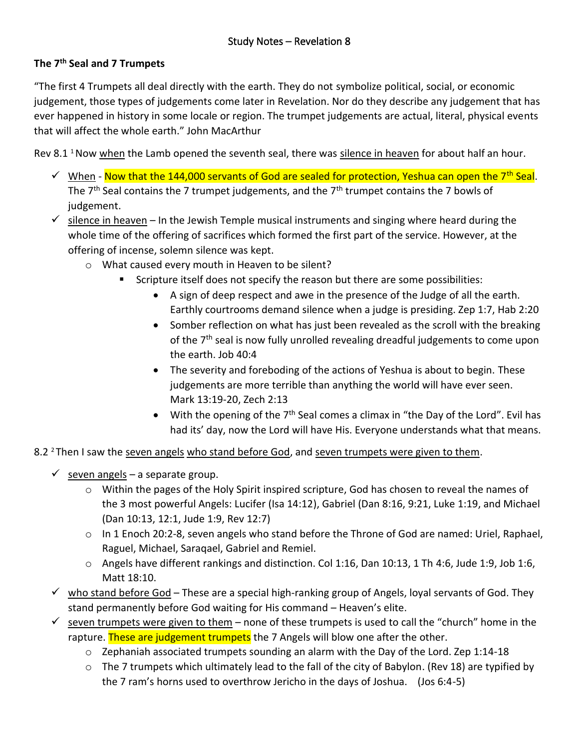## **The 7th Seal and 7 Trumpets**

"The first 4 Trumpets all deal directly with the earth. They do not symbolize political, social, or economic judgement, those types of judgements come later in Revelation. Nor do they describe any judgement that has ever happened in history in some locale or region. The trumpet judgements are actual, literal, physical events that will affect the whole earth." John MacArthur

Rev 8.1<sup>1</sup> Now when the Lamb opened the seventh seal, there was silence in heaven for about half an hour.

- $\checkmark$  When Now that the 144,000 servants of God are sealed for protection, Yeshua can open the 7<sup>th</sup> Seal. The  $7<sup>th</sup>$  Seal contains the 7 trumpet judgements, and the  $7<sup>th</sup>$  trumpet contains the 7 bowls of judgement.
- $\checkmark$  silence in heaven In the Jewish Temple musical instruments and singing where heard during the whole time of the offering of sacrifices which formed the first part of the service. However, at the offering of incense, solemn silence was kept.
	- o What caused every mouth in Heaven to be silent?
		- Scripture itself does not specify the reason but there are some possibilities:
			- A sign of deep respect and awe in the presence of the Judge of all the earth. Earthly courtrooms demand silence when a judge is presiding. Zep 1:7, Hab 2:20
			- Somber reflection on what has just been revealed as the scroll with the breaking of the 7<sup>th</sup> seal is now fully unrolled revealing dreadful judgements to come upon the earth. Job 40:4
			- The severity and foreboding of the actions of Yeshua is about to begin. These judgements are more terrible than anything the world will have ever seen. Mark 13:19-20, Zech 2:13
			- With the opening of the  $7<sup>th</sup>$  Seal comes a climax in "the Day of the Lord". Evil has had its' day, now the Lord will have His. Everyone understands what that means.
- 8.2<sup>2</sup> Then I saw the seven angels who stand before God, and seven trumpets were given to them.
	- $\checkmark$  seven angels a separate group.
		- $\circ$  Within the pages of the Holy Spirit inspired scripture, God has chosen to reveal the names of the 3 most powerful Angels: Lucifer (Isa 14:12), Gabriel (Dan 8:16, 9:21, Luke 1:19, and Michael (Dan 10:13, 12:1, Jude 1:9, Rev 12:7)
		- o In 1 Enoch 20:2-8, seven angels who stand before the Throne of God are named: Uriel, Raphael, Raguel, Michael, Saraqael, Gabriel and Remiel.
		- $\circ$  Angels have different rankings and distinction. Col 1:16, Dan 10:13, 1 Th 4:6, Jude 1:9, Job 1:6, Matt 18:10.
	- $\checkmark$  who stand before God These are a special high-ranking group of Angels, loyal servants of God. They stand permanently before God waiting for His command – Heaven's elite.
	- $\checkmark$  seven trumpets were given to them none of these trumpets is used to call the "church" home in the rapture. These are judgement trumpets the 7 Angels will blow one after the other.
		- $\circ$  Zephaniah associated trumpets sounding an alarm with the Day of the Lord. Zep 1:14-18
		- $\circ$  The 7 trumpets which ultimately lead to the fall of the city of Babylon. (Rev 18) are typified by the 7 ram's horns used to overthrow Jericho in the days of Joshua. (Jos 6:4-5)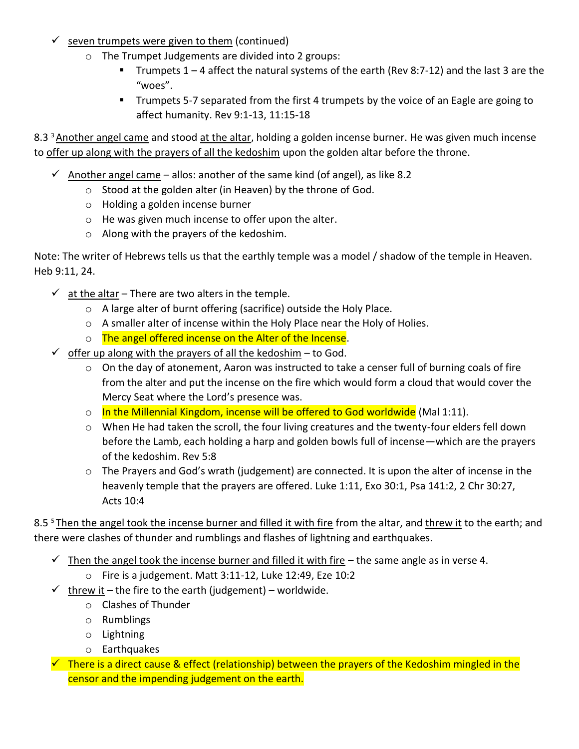- $\checkmark$  seven trumpets were given to them (continued)
	- o The Trumpet Judgements are divided into 2 groups:
		- Trumpets  $1 4$  affect the natural systems of the earth (Rev 8:7-12) and the last 3 are the "woes".
		- Trumpets 5-7 separated from the first 4 trumpets by the voice of an Eagle are going to affect humanity. Rev 9:1-13, 11:15-18

8.3<sup>3</sup> Another angel came and stood at the altar, holding a golden incense burner. He was given much incense to offer up along with the prayers of all the kedoshim upon the golden altar before the throne.

- $\checkmark$  Another angel came allos: another of the same kind (of angel), as like 8.2
	- o Stood at the golden alter (in Heaven) by the throne of God.
	- o Holding a golden incense burner
	- o He was given much incense to offer upon the alter.
	- o Along with the prayers of the kedoshim.

Note: The writer of Hebrews tells us that the earthly temple was a model / shadow of the temple in Heaven. Heb 9:11, 24.

- $\checkmark$  at the altar There are two alters in the temple.
	- o A large alter of burnt offering (sacrifice) outside the Holy Place.
	- o A smaller alter of incense within the Holy Place near the Holy of Holies.
	- o The angel offered incense on the Alter of the Incense.
- $\checkmark$  offer up along with the prayers of all the kedoshim to God.
	- $\circ$  On the day of atonement, Aaron was instructed to take a censer full of burning coals of fire from the alter and put the incense on the fire which would form a cloud that would cover the Mercy Seat where the Lord's presence was.
	- o In the Millennial Kingdom, incense will be offered to God worldwide (Mal 1:11).
	- $\circ$  When He had taken the scroll, the four living creatures and the twenty-four elders fell down before the Lamb, each holding a harp and golden bowls full of incense—which are the prayers of the kedoshim. Rev 5:8
	- o The Prayers and God's wrath (judgement) are connected. It is upon the alter of incense in the heavenly temple that the prayers are offered. Luke 1:11, Exo 30:1, Psa 141:2, 2 Chr 30:27, Acts 10:4

8.5<sup>5</sup> Then the angel took the incense burner and filled it with fire from the altar, and threw it to the earth; and there were clashes of thunder and rumblings and flashes of lightning and earthquakes.

- $\checkmark$  Then the angel took the incense burner and filled it with fire the same angle as in verse 4.
	- o Fire is a judgement. Matt 3:11-12, Luke 12:49, Eze 10:2
- $\checkmark$  threw it the fire to the earth (judgement) worldwide.
	- o Clashes of Thunder
	- o Rumblings
	- o Lightning
	- o Earthquakes
- $\sim$  There is a direct cause & effect (relationship) between the prayers of the Kedoshim mingled in the censor and the impending judgement on the earth.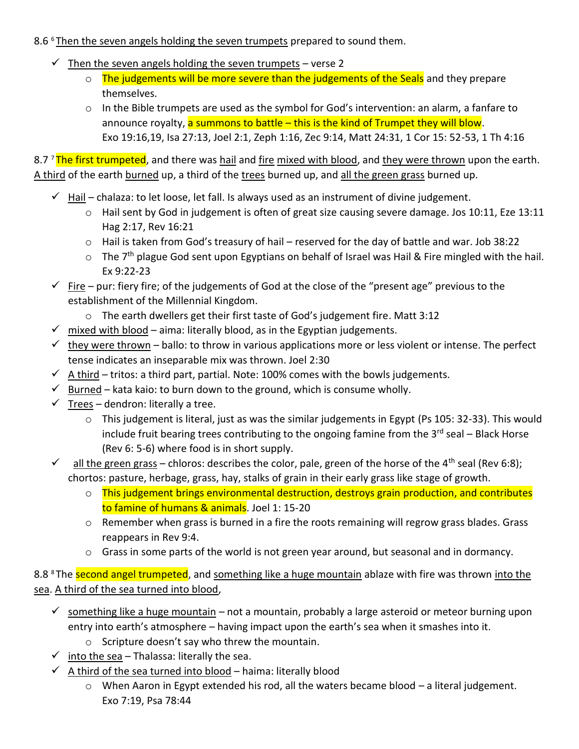## 8.6<sup>6</sup> Then the seven angels holding the seven trumpets prepared to sound them.

- $\checkmark$  Then the seven angels holding the seven trumpets verse 2
	- o The judgements will be more severe than the judgements of the Seals and they prepare themselves.
	- $\circ$  In the Bible trumpets are used as the symbol for God's intervention: an alarm, a fanfare to announce royalty, a summons to battle - this is the kind of Trumpet they will blow. Exo 19:16,19, Isa 27:13, Joel 2:1, Zeph 1:16, Zec 9:14, Matt 24:31, 1 Cor 15: 52-53, 1 Th 4:16

8.7<sup>7</sup>The first trumpeted, and there was hail and fire mixed with blood, and they were thrown upon the earth. A third of the earth burned up, a third of the trees burned up, and all the green grass burned up.

- $\checkmark$  Hail chalaza: to let loose, let fall. Is always used as an instrument of divine judgement.
	- $\circ$  Hail sent by God in judgement is often of great size causing severe damage. Jos 10:11, Eze 13:11 Hag 2:17, Rev 16:21
	- o Hail is taken from God's treasury of hail reserved for the day of battle and war. Job 38:22
	- $\circ$  The 7<sup>th</sup> plague God sent upon Egyptians on behalf of Israel was Hail & Fire mingled with the hail. Ex 9:22-23
- $\checkmark$  Fire pur: fiery fire; of the judgements of God at the close of the "present age" previous to the establishment of the Millennial Kingdom.
	- o The earth dwellers get their first taste of God's judgement fire. Matt 3:12
- $\checkmark$  mixed with blood aima: literally blood, as in the Egyptian judgements.
- $\checkmark$  they were thrown ballo: to throw in various applications more or less violent or intense. The perfect tense indicates an inseparable mix was thrown. Joel 2:30
- $\checkmark$  A third tritos: a third part, partial. Note: 100% comes with the bowls judgements.
- $\checkmark$  Burned kata kaio: to burn down to the ground, which is consume wholly.
- $\checkmark$  Trees dendron: literally a tree.
	- o This judgement is literal, just as was the similar judgements in Egypt (Ps 105: 32-33). This would include fruit bearing trees contributing to the ongoing famine from the  $3^{rd}$  seal – Black Horse (Rev 6: 5-6) where food is in short supply.
- $\checkmark$  all the green grass chloros: describes the color, pale, green of the horse of the 4<sup>th</sup> seal (Rev 6:8); chortos: pasture, herbage, grass, hay, stalks of grain in their early grass like stage of growth.
	- o This judgement brings environmental destruction, destroys grain production, and contributes to famine of humans & animals. Joel 1: 15-20
	- o Remember when grass is burned in a fire the roots remaining will regrow grass blades. Grass reappears in Rev 9:4.
	- o Grass in some parts of the world is not green year around, but seasonal and in dormancy.

8.8<sup>8</sup> The second angel trumpeted, and something like a huge mountain ablaze with fire was thrown into the sea. A third of the sea turned into blood,

- $\checkmark$  something like a huge mountain not a mountain, probably a large asteroid or meteor burning upon entry into earth's atmosphere – having impact upon the earth's sea when it smashes into it.
	- o Scripture doesn't say who threw the mountain.
- $\checkmark$  into the sea Thalassa: literally the sea.
- $\checkmark$  A third of the sea turned into blood haima: literally blood
	- o When Aaron in Egypt extended his rod, all the waters became blood a literal judgement. Exo 7:19, Psa 78:44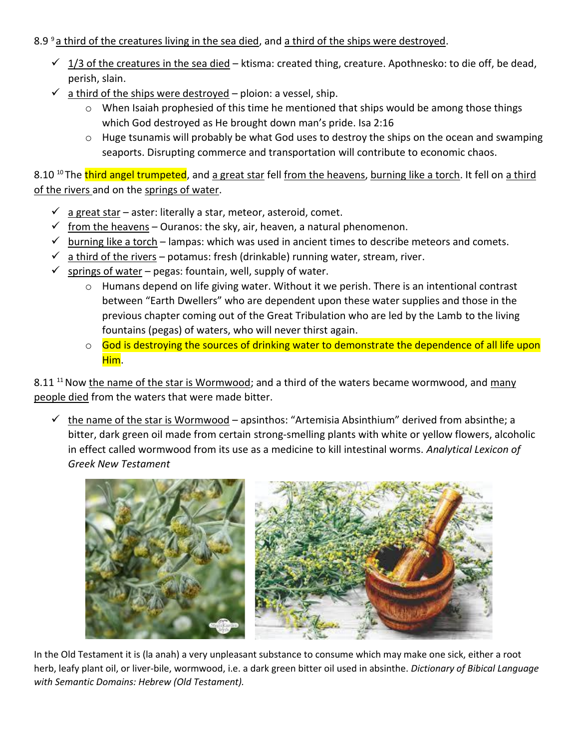## 8.9  $9a$  third of the creatures living in the sea died, and a third of the ships were destroyed.

- $\checkmark$  1/3 of the creatures in the sea died ktisma: created thing, creature. Apothnesko: to die off, be dead, perish, slain.
- $\checkmark$  a third of the ships were destroyed ploion: a vessel, ship.
	- $\circ$  When Isaiah prophesied of this time he mentioned that ships would be among those things which God destroyed as He brought down man's pride. Isa 2:16
	- o Huge tsunamis will probably be what God uses to destroy the ships on the ocean and swamping seaports. Disrupting commerce and transportation will contribute to economic chaos.

8.10<sup>10</sup>The third angel trumpeted, and a great star fell from the heavens, burning like a torch. It fell on a third of the rivers and on the springs of water.

- $\checkmark$  a great star aster: literally a star, meteor, asteroid, comet.
- $\checkmark$  from the heavens Ouranos: the sky, air, heaven, a natural phenomenon.
- $\checkmark$  burning like a torch lampas: which was used in ancient times to describe meteors and comets.
- $\checkmark$  a third of the rivers potamus: fresh (drinkable) running water, stream, river.
- $\checkmark$  springs of water pegas: fountain, well, supply of water.
	- $\circ$  Humans depend on life giving water. Without it we perish. There is an intentional contrast between "Earth Dwellers" who are dependent upon these water supplies and those in the previous chapter coming out of the Great Tribulation who are led by the Lamb to the living fountains (pegas) of waters, who will never thirst again.
	- o God is destroying the sources of drinking water to demonstrate the dependence of all life upon Him.

8.11<sup>11</sup> Now the name of the star is Wormwood; and a third of the waters became wormwood, and many people died from the waters that were made bitter.

 $\checkmark$  the name of the star is Wormwood – apsinthos: "Artemisia Absinthium" derived from absinthe; a bitter, dark green oil made from certain strong-smelling plants with white or yellow flowers, alcoholic in effect called wormwood from its use as a medicine to kill intestinal worms. *Analytical Lexicon of Greek New Testament*



In the Old Testament it is (la anah) a very unpleasant substance to consume which may make one sick, either a root herb, leafy plant oil, or liver-bile, wormwood, i.e. a dark green bitter oil used in absinthe. *Dictionary of Bibical Language with Semantic Domains: Hebrew (Old Testament).*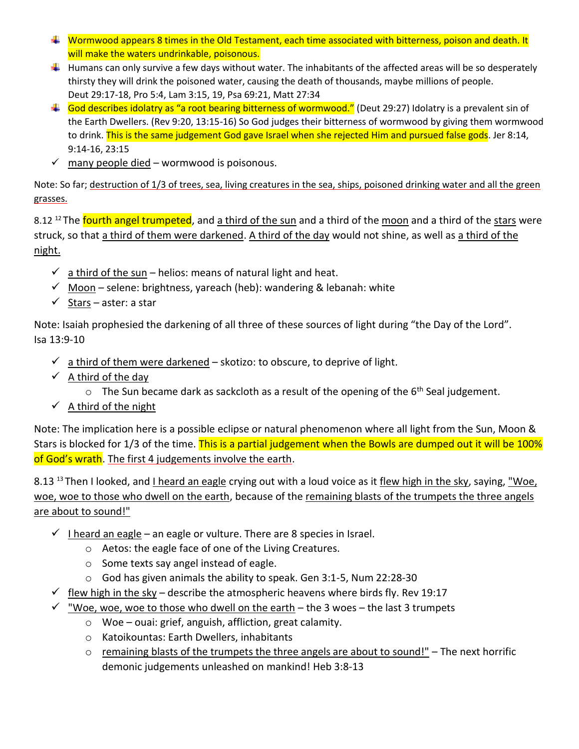- $\ddot{\phantom{1}}$  Wormwood appears 8 times in the Old Testament, each time associated with bitterness, poison and death. It will make the waters undrinkable, poisonous.
- $\ddotplus$  Humans can only survive a few days without water. The inhabitants of the affected areas will be so desperately thirsty they will drink the poisoned water, causing the death of thousands, maybe millions of people. Deut 29:17-18, Pro 5:4, Lam 3:15, 19, Psa 69:21, Matt 27:34
- God describes idolatry as "a root bearing bitterness of wormwood." (Deut 29:27) Idolatry is a prevalent sin of the Earth Dwellers. (Rev 9:20, 13:15-16) So God judges their bitterness of wormwood by giving them wormwood to drink. This is the same judgement God gave Israel when she rejected Him and pursued false gods. Jer 8:14, 9:14-16, 23:15
- $\checkmark$  many people died wormwood is poisonous.

Note: So far; destruction of 1/3 of trees, sea, living creatures in the sea, ships, poisoned drinking water and all the green grasses.

8.12<sup>12</sup>The fourth angel trumpeted, and a third of the sun and a third of the moon and a third of the stars were struck, so that a third of them were darkened. A third of the day would not shine, as well as a third of the night.

- $\checkmark$  a third of the sun helios: means of natural light and heat.
- $\checkmark$  Moon selene: brightness, yareach (heb): wandering & lebanah: white
- $\checkmark$  Stars aster: a star

Note: Isaiah prophesied the darkening of all three of these sources of light during "the Day of the Lord". Isa 13:9-10

- $\checkmark$  a third of them were darkened skotizo: to obscure, to deprive of light.
- $\checkmark$  A third of the day
	- $\circ$  The Sun became dark as sackcloth as a result of the opening of the 6<sup>th</sup> Seal judgement.
- $\checkmark$  A third of the night

Note: The implication here is a possible eclipse or natural phenomenon where all light from the Sun, Moon & Stars is blocked for 1/3 of the time. This is a partial judgement when the Bowls are dumped out it will be 100% of God's wrath. The first 4 judgements involve the earth.

8.13<sup>13</sup> Then I looked, and I heard an eagle crying out with a loud voice as it flew high in the sky, saying, "Woe, woe, woe to those who dwell on the earth, because of the remaining blasts of the trumpets the three angels are about to sound!"

- $\checkmark$  I heard an eagle an eagle or vulture. There are 8 species in Israel.
	- o Aetos: the eagle face of one of the Living Creatures.
	- o Some texts say angel instead of eagle.
	- o God has given animals the ability to speak. Gen 3:1-5, Num 22:28-30
- $\checkmark$  flew high in the sky describe the atmospheric heavens where birds fly. Rev 19:17
- $\checkmark$  "Woe, woe, woe to those who dwell on the earth the 3 woes the last 3 trumpets
	- o Woe ouai: grief, anguish, affliction, great calamity.
	- o Katoikountas: Earth Dwellers, inhabitants
	- $\circ$  remaining blasts of the trumpets the three angels are about to sound!" The next horrific demonic judgements unleashed on mankind! Heb 3:8-13